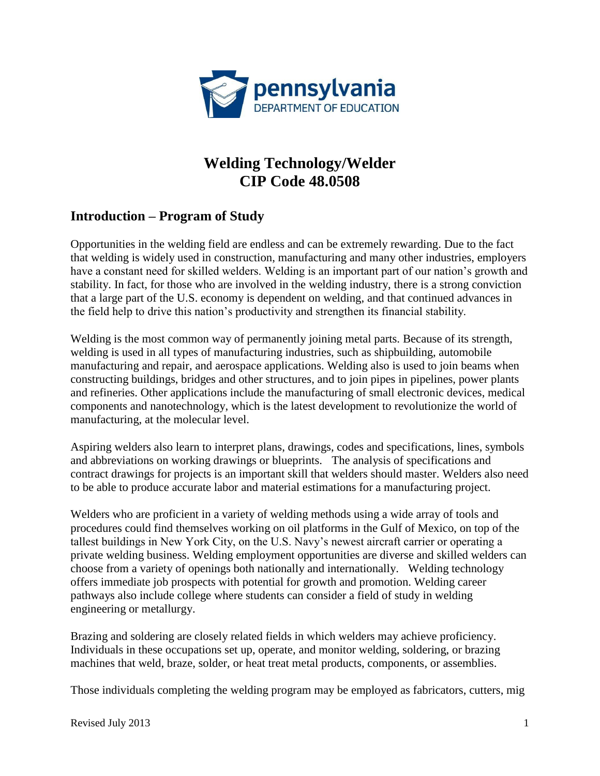

# **Welding Technology/Welder [CIP Code 48.0508](http://www.pde.state.pa.us/career_edu/cwp/view.asp?a=122&q=102483)**

## **Introduction – Program of Study**

Opportunities in the welding field are endless and can be extremely rewarding. Due to the fact that welding is widely used in construction, manufacturing and many other industries, employers have a constant need for skilled welders. Welding is an important part of our nation's growth and stability. In fact, for those who are involved in the welding industry, there is a strong conviction that a large part of the U.S. economy is dependent on welding, and that continued advances in the field help to drive this nation's productivity and strengthen its financial stability.

Welding is the most common way of permanently joining metal parts. Because of its strength, welding is used in all types of manufacturing industries, such as shipbuilding, automobile manufacturing and repair, and aerospace applications. Welding also is used to join beams when constructing buildings, bridges and other structures, and to join pipes in pipelines, power plants and refineries. Other applications include the manufacturing of small electronic devices, medical components and nanotechnology, which is the latest development to revolutionize the world of manufacturing, at the molecular level.

Aspiring welders also learn to interpret plans, drawings, codes and specifications, lines, symbols and abbreviations on working drawings or blueprints. The analysis of specifications and contract drawings for projects is an important skill that welders should master. Welders also need to be able to produce accurate labor and material estimations for a manufacturing project.

Welders who are proficient in a variety of welding methods using a wide array of tools and procedures could find themselves working on oil platforms in the Gulf of Mexico, on top of the tallest buildings in New York City, on the U.S. Navy's newest aircraft carrier or operating a private welding business. Welding employment opportunities are diverse and skilled welders can choose from a variety of openings both nationally and internationally. Welding technology offers immediate job prospects with potential for growth and promotion. Welding career pathways also include college where students can consider a field of study in welding engineering or metallurgy.

Brazing and soldering are closely related fields in which welders may achieve proficiency. Individuals in these occupations set up, operate, and monitor welding, soldering, or brazing machines that weld, braze, solder, or heat treat metal products, components, or assemblies.

Those individuals completing the welding program may be employed as fabricators, cutters, mig